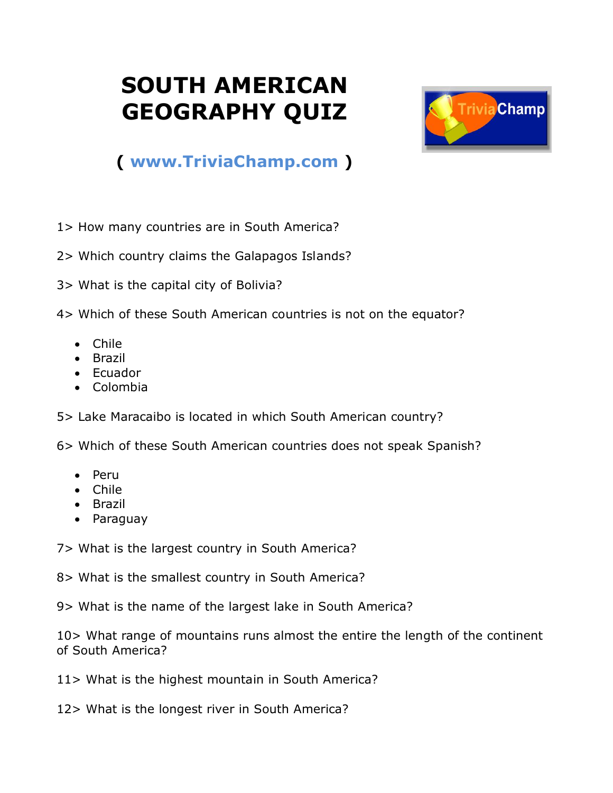## **SOUTH AMERICAN GEOGRAPHY QUIZ**



## **( [www.TriviaChamp.com](http://www.triviachamp.com/) )**

- 1> How many countries are in South America?
- 2> Which country claims the Galapagos Islands?
- 3> What is the capital city of Bolivia?
- 4> Which of these South American countries is not on the equator?
	- Chile
	- Brazil
	- Fcuador
	- Colombia

5> Lake Maracaibo is located in which South American country?

6> Which of these South American countries does not speak Spanish?

- Peru
- Chile
- Brazil
- Paraguay

7> What is the largest country in South America?

8> What is the smallest country in South America?

9> What is the name of the largest lake in South America?

10> What range of mountains runs almost the entire the length of the continent of South America?

11> What is the highest mountain in South America?

12> What is the longest river in South America?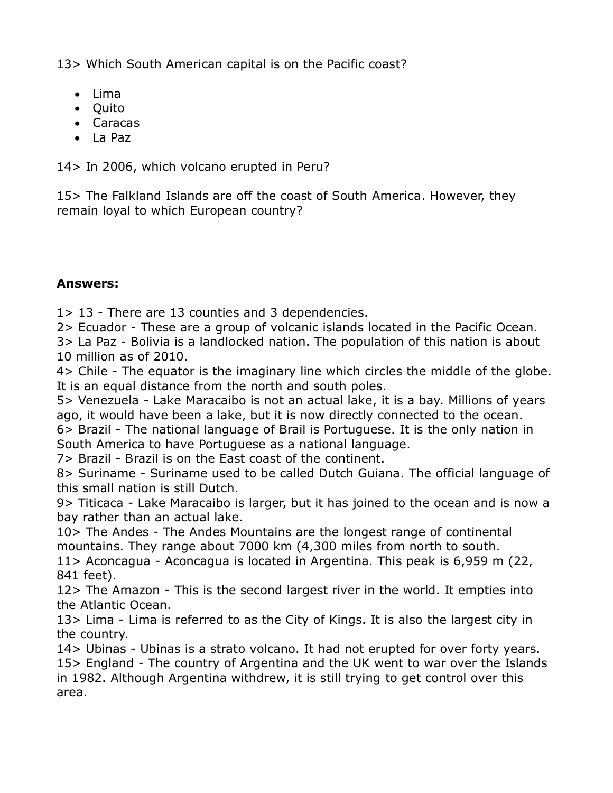13> Which South American capital is on the Pacific coast?

- Lima
- Quito
- Caracas
- La Paz

14> In 2006, which volcano erupted in Peru?

15> The Falkland Islands are off the coast of South America. However, they remain loyal to which European country?

## **Answers:**

1> 13 - There are 13 counties and 3 dependencies.

2> Ecuador - These are a group of volcanic islands located in the Pacific Ocean.

3> La Paz - Bolivia is a landlocked nation. The population of this nation is about 10 million as of 2010.

4> Chile - The equator is the imaginary line which circles the middle of the globe. It is an equal distance from the north and south poles.

5> Venezuela - Lake Maracaibo is not an actual lake, it is a bay. Millions of years ago, it would have been a lake, but it is now directly connected to the ocean.

6> Brazil - The national language of Brail is Portuguese. It is the only nation in South America to have Portuguese as a national language.

7> Brazil - Brazil is on the East coast of the continent.

8> Suriname - Suriname used to be called Dutch Guiana. The official language of this small nation is still Dutch.

9> Titicaca - Lake Maracaibo is larger, but it has joined to the ocean and is now a bay rather than an actual lake.

10> The Andes - The Andes Mountains are the longest range of continental mountains. They range about 7000 km (4,300 miles from north to south.

11> Aconcagua - Aconcagua is located in Argentina. This peak is 6,959 m (22, 841 feet).

12> The Amazon - This is the second largest river in the world. It empties into the Atlantic Ocean.

13> Lima - Lima is referred to as the City of Kings. It is also the largest city in the country.

14> Ubinas - Ubinas is a strato volcano. It had not erupted for over forty years. 15> England - The country of Argentina and the UK went to war over the Islands in 1982. Although Argentina withdrew, it is still trying to get control over this area.